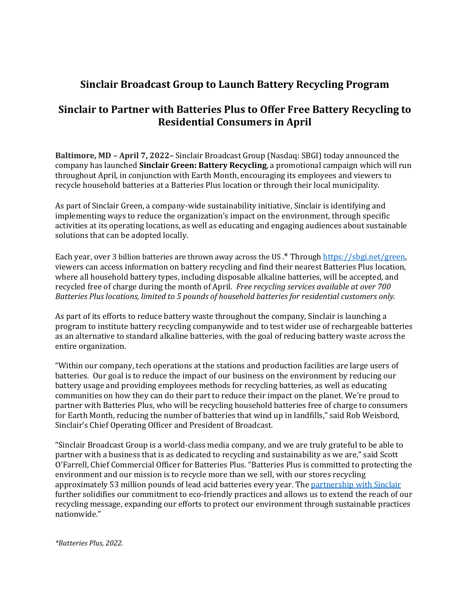## **Sinclair Broadcast Group to Launch Battery Recycling Program**

## **Sinclair to Partner with Batteries Plus to Offer Free Battery Recycling to Residential Consumers in April**

**Baltimore, MD – April 7, 2022–** Sinclair Broadcast Group (Nasdaq: SBGI) today announced the company has launched **Sinclair Green: Battery Recycling**, a promotional campaign which will run throughout April, in conjunction with Earth Month, encouraging its employees and viewers to recycle household batteries at a Batteries Plus location or through their local municipality.

As part of Sinclair Green, a company-wide sustainability initiative, Sinclair is identifying and implementing ways to reduce the organization's impact on the environment, through specific activities at its operating locations, as well as educating and engaging audiences about sustainable solutions that can be adopted locally.

Each year, over 3 billion batteries are thrown away across the US .\* Through [https://sbgi.net/green,](https://sbgi.net/green) viewers can access information on battery recycling and find their nearest Batteries Plus location, where all household battery types, including disposable alkaline batteries, will be accepted, and recycled free of charge during the month of April. *Free recycling services available at over 700 Batteries Plus locations, limited to 5 pounds of household batteries for residential customers only.*

As part of its efforts to reduce battery waste throughout the company, Sinclair is launching a program to institute battery recycling companywide and to test wider use of rechargeable batteries as an alternative to standard alkaline batteries, with the goal of reducing battery waste across the entire organization.

"Within our company, tech operations at the stations and production facilities are large users of batteries. Our goal is to reduce the impact of our business on the environment by reducing our battery usage and providing employees methods for recycling batteries, as well as educating communities on how they can do their part to reduce their impact on the planet. We're proud to partner with Batteries Plus, who will be recycling household batteries free of charge to consumers for Earth Month, reducing the number of batteries that wind up in landfills," said Rob Weisbord, Sinclair's Chief Operating Officer and President of Broadcast.

"Sinclair Broadcast Group is a world-class media company, and we are truly grateful to be able to partner with a business that is as dedicated to recycling and sustainability as we are," said Scott O'Farrell, Chief Commercial Officer for Batteries Plus. "Batteries Plus is committed to protecting the environment and our mission is to recycle more than we sell, with our stores recycling approximately 53 million pounds of lead acid batteries every year. The [partnership with Sinclair](https://www.batteriesplus.com/sinclair-recycling) further solidifies our commitment to eco-friendly practices and allows us to extend the reach of our recycling message, expanding our efforts to protect our environment through sustainable practices nationwide."

*\*Batteries Plus, 2022.*